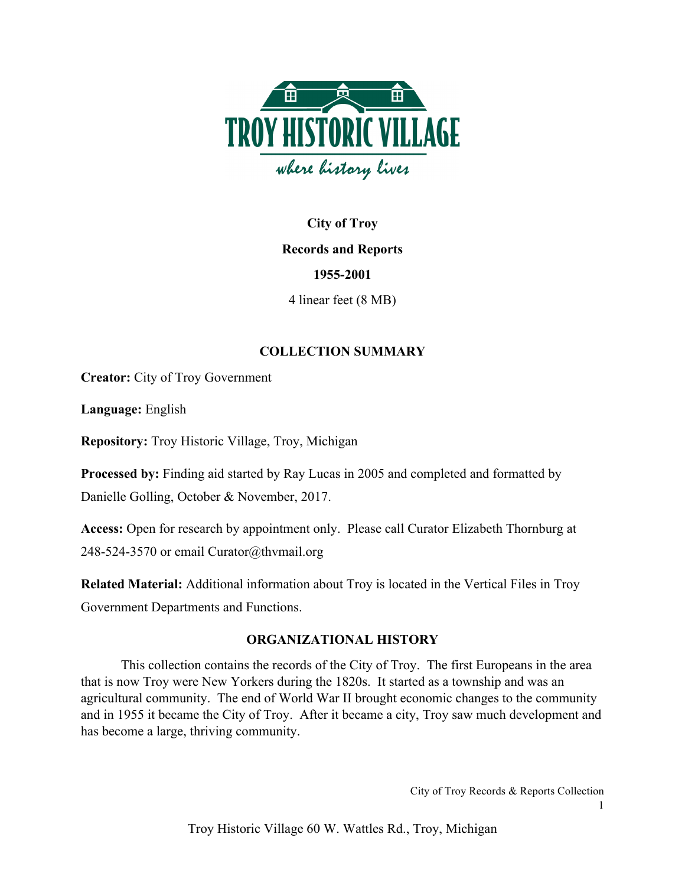

# **City of Troy Records and Reports 1955-2001** 4 linear feet (8 MB)

# **COLLECTION SUMMARY**

**Creator:** City of Troy Government

**Language:** English

**Repository:** Troy Historic Village, Troy, Michigan

**Processed by:** Finding aid started by Ray Lucas in 2005 and completed and formatted by Danielle Golling, October & November, 2017.

**Access:** Open for research by appointment only. Please call Curator Elizabeth Thornburg at 248-524-3570 or email Curator@thvmail.org

**Related Material:** Additional information about Troy is located in the Vertical Files in Troy Government Departments and Functions.

### **ORGANIZATIONAL HISTORY**

This collection contains the records of the City of Troy. The first Europeans in the area that is now Troy were New Yorkers during the 1820s. It started as a township and was an agricultural community. The end of World War II brought economic changes to the community and in 1955 it became the City of Troy. After it became a city, Troy saw much development and has become a large, thriving community.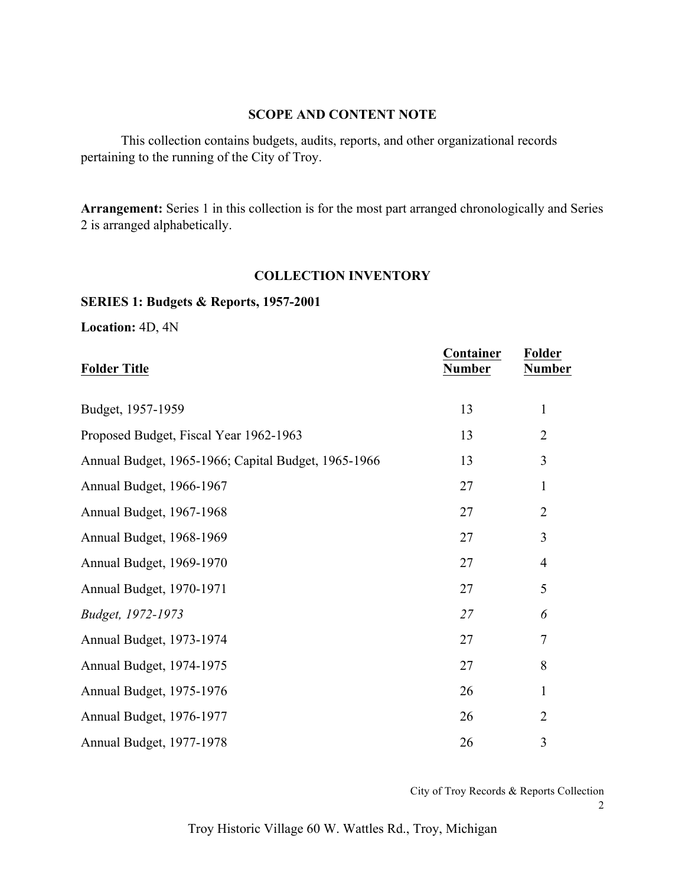#### **SCOPE AND CONTENT NOTE**

This collection contains budgets, audits, reports, and other organizational records pertaining to the running of the City of Troy.

**Arrangement:** Series 1 in this collection is for the most part arranged chronologically and Series 2 is arranged alphabetically.

#### **COLLECTION INVENTORY**

#### **SERIES 1: Budgets & Reports, 1957-2001**

**Location:** 4D, 4N

| <b>Folder Title</b>                                 | Container<br><b>Number</b> | Folder<br><b>Number</b> |
|-----------------------------------------------------|----------------------------|-------------------------|
| Budget, 1957-1959                                   | 13                         | 1                       |
| Proposed Budget, Fiscal Year 1962-1963              | 13                         | $\overline{2}$          |
| Annual Budget, 1965-1966; Capital Budget, 1965-1966 | 13                         | 3                       |
| Annual Budget, 1966-1967                            | 27                         | $\mathbf{1}$            |
| Annual Budget, 1967-1968                            | 27                         | $\overline{2}$          |
| Annual Budget, 1968-1969                            | 27                         | 3                       |
| Annual Budget, 1969-1970                            | 27                         | $\overline{4}$          |
| Annual Budget, 1970-1971                            | 27                         | 5                       |
| Budget, 1972-1973                                   | 27                         | 6                       |
| Annual Budget, 1973-1974                            | 27                         | $\tau$                  |
| Annual Budget, 1974-1975                            | 27                         | 8                       |
| Annual Budget, 1975-1976                            | 26                         | $\mathbf{1}$            |
| Annual Budget, 1976-1977                            | 26                         | $\overline{2}$          |
| Annual Budget, 1977-1978                            | 26                         | 3                       |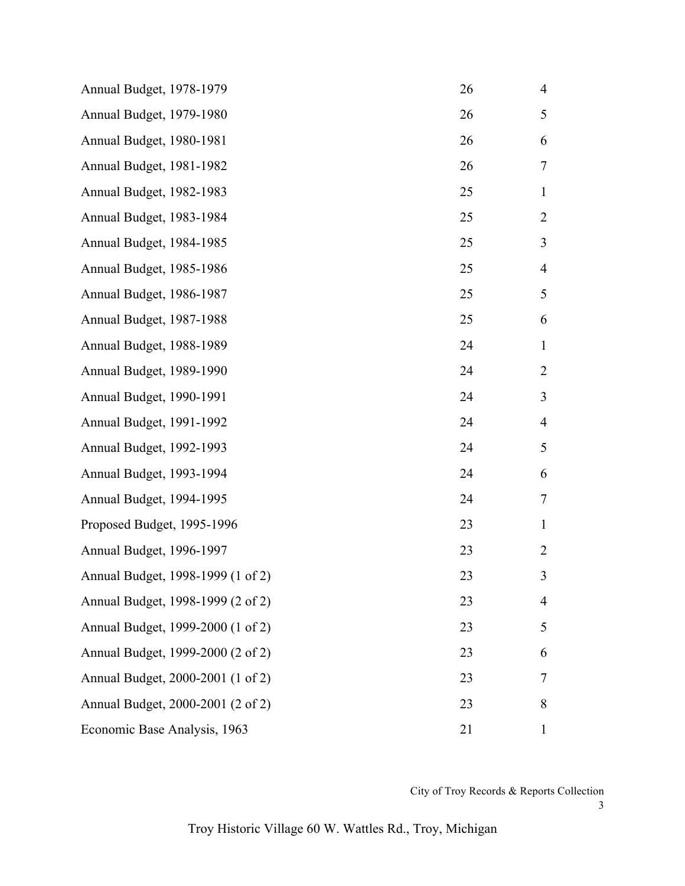| Annual Budget, 1978-1979          | 26 | $\overline{4}$ |
|-----------------------------------|----|----------------|
| Annual Budget, 1979-1980          | 26 | 5              |
| Annual Budget, 1980-1981          | 26 | 6              |
| Annual Budget, 1981-1982          | 26 | 7              |
| Annual Budget, 1982-1983          | 25 | 1              |
| Annual Budget, 1983-1984          | 25 | $\overline{2}$ |
| Annual Budget, 1984-1985          | 25 | 3              |
| Annual Budget, 1985-1986          | 25 | 4              |
| Annual Budget, 1986-1987          | 25 | 5              |
| Annual Budget, 1987-1988          | 25 | 6              |
| Annual Budget, 1988-1989          | 24 | $\mathbf{1}$   |
| Annual Budget, 1989-1990          | 24 | $\overline{2}$ |
| Annual Budget, 1990-1991          | 24 | 3              |
| Annual Budget, 1991-1992          | 24 | 4              |
| Annual Budget, 1992-1993          | 24 | 5              |
| Annual Budget, 1993-1994          | 24 | 6              |
| Annual Budget, 1994-1995          | 24 | 7              |
| Proposed Budget, 1995-1996        | 23 | 1              |
| Annual Budget, 1996-1997          | 23 | 2              |
| Annual Budget, 1998-1999 (1 of 2) | 23 | 3              |
| Annual Budget, 1998-1999 (2 of 2) | 23 | 4              |
| Annual Budget, 1999-2000 (1 of 2) | 23 | 5              |
| Annual Budget, 1999-2000 (2 of 2) | 23 | 6              |
| Annual Budget, 2000-2001 (1 of 2) | 23 | 7              |
| Annual Budget, 2000-2001 (2 of 2) | 23 | 8              |
| Economic Base Analysis, 1963      | 21 | $\mathbf{1}$   |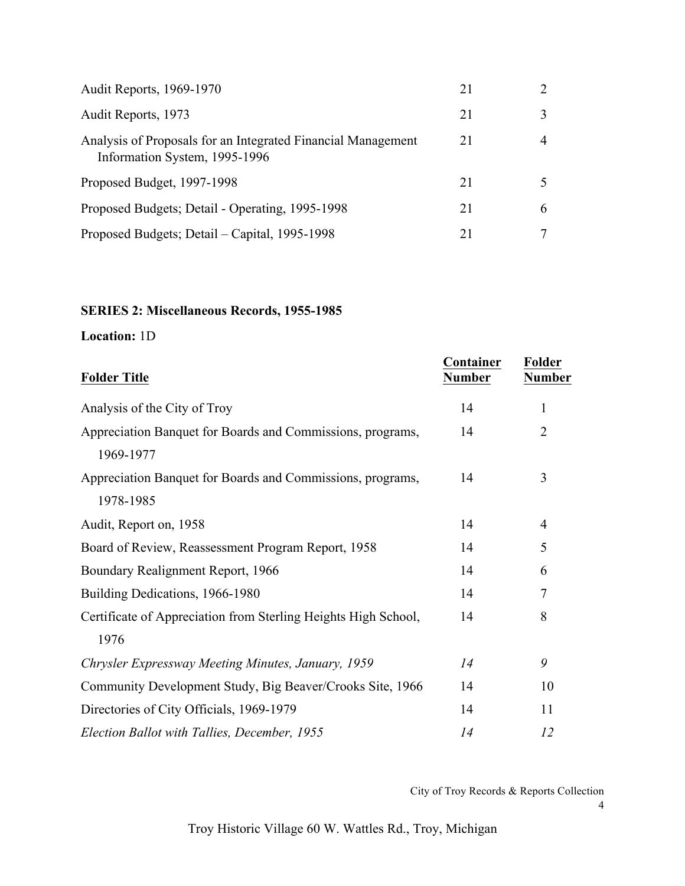| <b>Audit Reports, 1969-1970</b>                                                               | 21 |   |
|-----------------------------------------------------------------------------------------------|----|---|
| Audit Reports, 1973                                                                           | 21 |   |
| Analysis of Proposals for an Integrated Financial Management<br>Information System, 1995-1996 | 21 |   |
| Proposed Budget, 1997-1998                                                                    | 21 |   |
| Proposed Budgets; Detail - Operating, 1995-1998                                               | 21 | 6 |
| Proposed Budgets; Detail – Capital, 1995-1998                                                 | 21 |   |

# **SERIES 2: Miscellaneous Records, 1955-1985**

# **Location:** 1D

| <b>Folder Title</b>                                                     | Container<br><b>Number</b> | <b>Folder</b><br><b>Number</b> |
|-------------------------------------------------------------------------|----------------------------|--------------------------------|
| Analysis of the City of Troy                                            | 14                         | 1                              |
| Appreciation Banquet for Boards and Commissions, programs,<br>1969-1977 | 14                         | $\overline{2}$                 |
| Appreciation Banquet for Boards and Commissions, programs,<br>1978-1985 | 14                         | 3                              |
| Audit, Report on, 1958                                                  | 14                         | $\overline{4}$                 |
| Board of Review, Reassessment Program Report, 1958                      | 14                         | 5                              |
| Boundary Realignment Report, 1966                                       | 14                         | 6                              |
| Building Dedications, 1966-1980                                         | 14                         | 7                              |
| Certificate of Appreciation from Sterling Heights High School,<br>1976  | 14                         | 8                              |
| Chrysler Expressway Meeting Minutes, January, 1959                      | 14                         | 9                              |
| Community Development Study, Big Beaver/Crooks Site, 1966               | 14                         | 10                             |
| Directories of City Officials, 1969-1979                                | 14                         | 11                             |
| Election Ballot with Tallies, December, 1955                            | 14                         | 12                             |